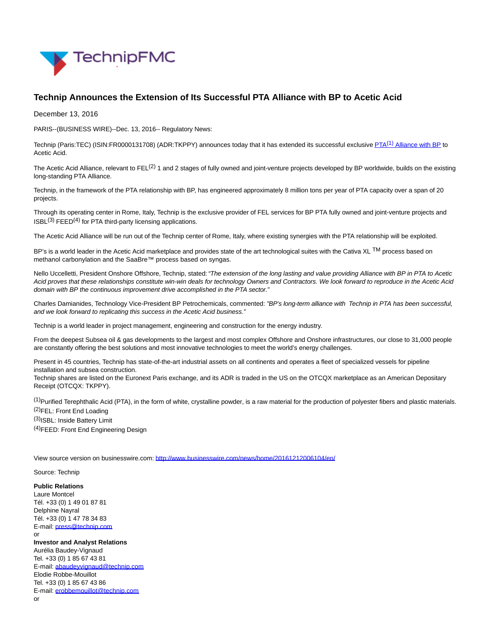

## **Technip Announces the Extension of Its Successful PTA Alliance with BP to Acetic Acid**

December 13, 2016

PARIS--(BUSINESS WIRE)--Dec. 13, 2016-- Regulatory News:

Technip (Paris:TEC) (ISIN:FR0000131708) (ADR:TKPPY) announces today that it has extended its successful exclusive PTA<sup>(1)</sup> [Alliance with BP t](http://cts.businesswire.com/ct/CT?id=smartlink&url=http%3A%2F%2Fwww.technip.com%2Fen%2Fpress%2Ftechnip-completes-acquisition-hummingbird%25C2%25AE-technology-bp-chemicals-limited&esheet=51476930&newsitemid=20161212006104&lan=en-US&anchor=PTA%281%29+Alliance+with+BP&index=1&md5=d798090f95800044331657d3e99d6896)o Acetic Acid.

The Acetic Acid Alliance, relevant to FEL $(2)$  1 and 2 stages of fully owned and joint-venture projects developed by BP worldwide, builds on the existing long-standing PTA Alliance.

Technip, in the framework of the PTA relationship with BP, has engineered approximately 8 million tons per year of PTA capacity over a span of 20 projects.

Through its operating center in Rome, Italy, Technip is the exclusive provider of FEL services for BP PTA fully owned and joint-venture projects and  $ISBN(3) FEED<sup>(4)</sup>$  for PTA third-party licensing applications.

The Acetic Acid Alliance will be run out of the Technip center of Rome, Italy, where existing synergies with the PTA relationship will be exploited.

BP's is a world leader in the Acetic Acid marketplace and provides state of the art technological suites with the Cativa XL TM process based on methanol carbonylation and the SaaBre™ process based on syngas.

Nello Uccelletti, President Onshore Offshore, Technip, stated: "The extension of the long lasting and value providing Alliance with BP in PTA to Acetic Acid proves that these relationships constitute win-win deals for technology Owners and Contractors. We look forward to reproduce in the Acetic Acid domain with BP the continuous improvement drive accomplished in the PTA sector."

Charles Damianides, Technology Vice-President BP Petrochemicals, commented: "BP's long-term alliance with Technip in PTA has been successful, and we look forward to replicating this success in the Acetic Acid business."

Technip is a world leader in project management, engineering and construction for the energy industry.

From the deepest Subsea oil & gas developments to the largest and most complex Offshore and Onshore infrastructures, our close to 31,000 people are constantly offering the best solutions and most innovative technologies to meet the world's energy challenges.

Present in 45 countries, Technip has state-of-the-art industrial assets on all continents and operates a fleet of specialized vessels for pipeline installation and subsea construction.

Technip shares are listed on the Euronext Paris exchange, and its ADR is traded in the US on the OTCQX marketplace as an American Depositary Receipt (OTCQX: TKPPY).

(1)Purified Terephthalic Acid (PTA), in the form of white, crystalline powder, is a raw material for the production of polyester fibers and plastic materials. (2)FEL: Front End Loading

(3)ISBL: Inside Battery Limit

(4)FEED: Front End Engineering Design

View source version on businesswire.com:<http://www.businesswire.com/news/home/20161212006104/en/>

Source: Technip

**Public Relations** Laure Montcel Tél. +33 (0) 1 49 01 87 81 Delphine Nayral Tél. +33 (0) 1 47 78 34 83 E-mail: [press@technip.com](mailto:press@technip.com) or **Investor and Analyst Relations** Aurélia Baudey-Vignaud Tel. +33 (0) 1 85 67 43 81 E-mail: [abaudeyvignaud@technip.com](mailto:abaudeyvignaud@technip.com) Elodie Robbe-Mouillot Tel. +33 (0) 1 85 67 43 86 E-mail: [erobbemouillot@technip.com](mailto:erobbemouillot@technip.com) or